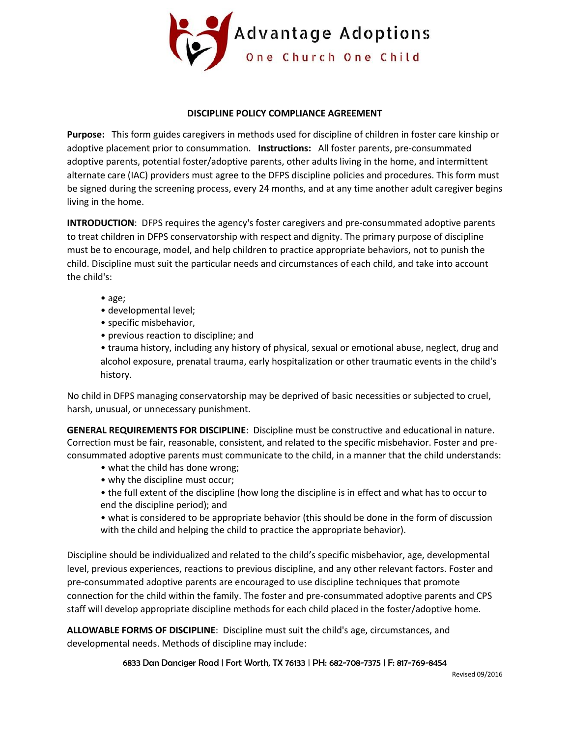

## **DISCIPLINE POLICY COMPLIANCE AGREEMENT**

**Purpose:** This form guides caregivers in methods used for discipline of children in foster care kinship or adoptive placement prior to consummation. **Instructions:** All foster parents, pre-consummated adoptive parents, potential foster/adoptive parents, other adults living in the home, and intermittent alternate care (IAC) providers must agree to the DFPS discipline policies and procedures. This form must be signed during the screening process, every 24 months, and at any time another adult caregiver begins living in the home.

**INTRODUCTION**: DFPS requires the agency's foster caregivers and pre-consummated adoptive parents to treat children in DFPS conservatorship with respect and dignity. The primary purpose of discipline must be to encourage, model, and help children to practice appropriate behaviors, not to punish the child. Discipline must suit the particular needs and circumstances of each child, and take into account the child's:

- age;
- developmental level;
- specific misbehavior,
- previous reaction to discipline; and

• trauma history, including any history of physical, sexual or emotional abuse, neglect, drug and alcohol exposure, prenatal trauma, early hospitalization or other traumatic events in the child's history.

No child in DFPS managing conservatorship may be deprived of basic necessities or subjected to cruel, harsh, unusual, or unnecessary punishment.

**GENERAL REQUIREMENTS FOR DISCIPLINE**: Discipline must be constructive and educational in nature. Correction must be fair, reasonable, consistent, and related to the specific misbehavior. Foster and preconsummated adoptive parents must communicate to the child, in a manner that the child understands:

- what the child has done wrong;
- why the discipline must occur;
- the full extent of the discipline (how long the discipline is in effect and what has to occur to end the discipline period); and
- what is considered to be appropriate behavior (this should be done in the form of discussion with the child and helping the child to practice the appropriate behavior).

Discipline should be individualized and related to the child's specific misbehavior, age, developmental level, previous experiences, reactions to previous discipline, and any other relevant factors. Foster and pre-consummated adoptive parents are encouraged to use discipline techniques that promote connection for the child within the family. The foster and pre-consummated adoptive parents and CPS staff will develop appropriate discipline methods for each child placed in the foster/adoptive home.

**ALLOWABLE FORMS OF DISCIPLINE**: Discipline must suit the child's age, circumstances, and developmental needs. Methods of discipline may include: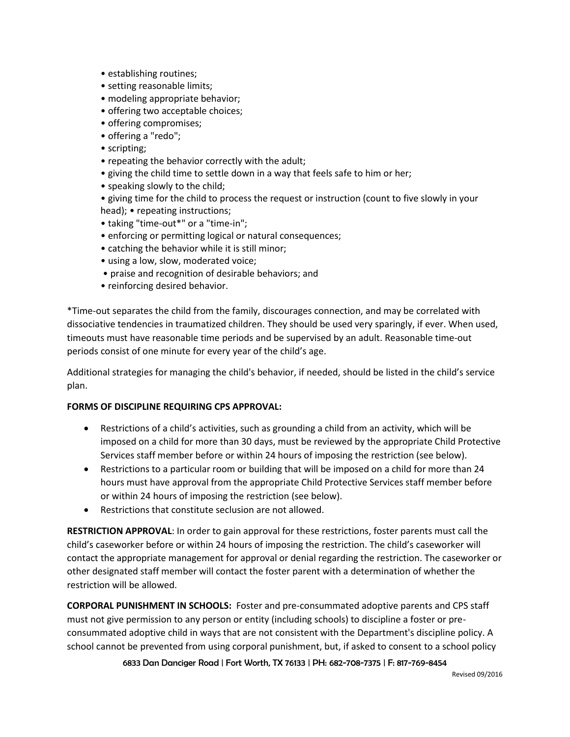- establishing routines;
- setting reasonable limits;
- modeling appropriate behavior;
- offering two acceptable choices;
- offering compromises;
- offering a "redo";
- scripting;
- repeating the behavior correctly with the adult;
- giving the child time to settle down in a way that feels safe to him or her;
- speaking slowly to the child;
- giving time for the child to process the request or instruction (count to five slowly in your head); • repeating instructions;
- taking "time-out\*" or a "time-in";
- enforcing or permitting logical or natural consequences;
- catching the behavior while it is still minor;
- using a low, slow, moderated voice;
- praise and recognition of desirable behaviors; and
- reinforcing desired behavior.

\*Time-out separates the child from the family, discourages connection, and may be correlated with dissociative tendencies in traumatized children. They should be used very sparingly, if ever. When used, timeouts must have reasonable time periods and be supervised by an adult. Reasonable time-out periods consist of one minute for every year of the child's age.

Additional strategies for managing the child's behavior, if needed, should be listed in the child's service plan.

## **FORMS OF DISCIPLINE REQUIRING CPS APPROVAL:**

- Restrictions of a child's activities, such as grounding a child from an activity, which will be imposed on a child for more than 30 days, must be reviewed by the appropriate Child Protective Services staff member before or within 24 hours of imposing the restriction (see below).
- Restrictions to a particular room or building that will be imposed on a child for more than 24 hours must have approval from the appropriate Child Protective Services staff member before or within 24 hours of imposing the restriction (see below).
- Restrictions that constitute seclusion are not allowed.

**RESTRICTION APPROVAL**: In order to gain approval for these restrictions, foster parents must call the child's caseworker before or within 24 hours of imposing the restriction. The child's caseworker will contact the appropriate management for approval or denial regarding the restriction. The caseworker or other designated staff member will contact the foster parent with a determination of whether the restriction will be allowed.

**CORPORAL PUNISHMENT IN SCHOOLS:** Foster and pre-consummated adoptive parents and CPS staff must not give permission to any person or entity (including schools) to discipline a foster or preconsummated adoptive child in ways that are not consistent with the Department's discipline policy. A school cannot be prevented from using corporal punishment, but, if asked to consent to a school policy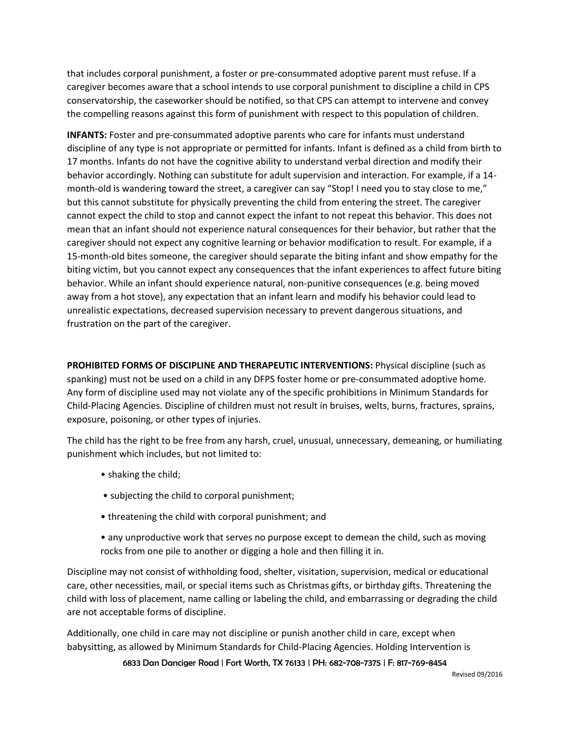that includes corporal punishment, a foster or pre-consummated adoptive parent must refuse. If a caregiver becomes aware that a school intends to use corporal punishment to discipline a child in CPS conservatorship, the caseworker should be notified, so that CPS can attempt to intervene and convey the compelling reasons against this form of punishment with respect to this population of children.

**INFANTS:** Foster and pre-consummated adoptive parents who care for infants must understand discipline of any type is not appropriate or permitted for infants. Infant is defined as a child from birth to 17 months. Infants do not have the cognitive ability to understand verbal direction and modify their behavior accordingly. Nothing can substitute for adult supervision and interaction. For example, if a 14 month-old is wandering toward the street, a caregiver can say "Stop! I need you to stay close to me," but this cannot substitute for physically preventing the child from entering the street. The caregiver cannot expect the child to stop and cannot expect the infant to not repeat this behavior. This does not mean that an infant should not experience natural consequences for their behavior, but rather that the caregiver should not expect any cognitive learning or behavior modification to result. For example, if a 15-month-old bites someone, the caregiver should separate the biting infant and show empathy for the biting victim, but you cannot expect any consequences that the infant experiences to affect future biting behavior. While an infant should experience natural, non-punitive consequences (e.g. being moved away from a hot stove), any expectation that an infant learn and modify his behavior could lead to unrealistic expectations, decreased supervision necessary to prevent dangerous situations, and frustration on the part of the caregiver.

**PROHIBITED FORMS OF DISCIPLINE AND THERAPEUTIC INTERVENTIONS:** Physical discipline (such as spanking) must not be used on a child in any DFPS foster home or pre-consummated adoptive home. Any form of discipline used may not violate any of the specific prohibitions in Minimum Standards for Child-Placing Agencies. Discipline of children must not result in bruises, welts, burns, fractures, sprains, exposure, poisoning, or other types of injuries.

The child has the right to be free from any harsh, cruel, unusual, unnecessary, demeaning, or humiliating punishment which includes, but not limited to:

- shaking the child;
- subjecting the child to corporal punishment;
- threatening the child with corporal punishment; and
- any unproductive work that serves no purpose except to demean the child, such as moving rocks from one pile to another or digging a hole and then filling it in.

Discipline may not consist of withholding food, shelter, visitation, supervision, medical or educational care, other necessities, mail, or special items such as Christmas gifts, or birthday gifts. Threatening the child with loss of placement, name calling or labeling the child, and embarrassing or degrading the child are not acceptable forms of discipline.

Additionally, one child in care may not discipline or punish another child in care, except when babysitting, as allowed by Minimum Standards for Child-Placing Agencies. Holding Intervention is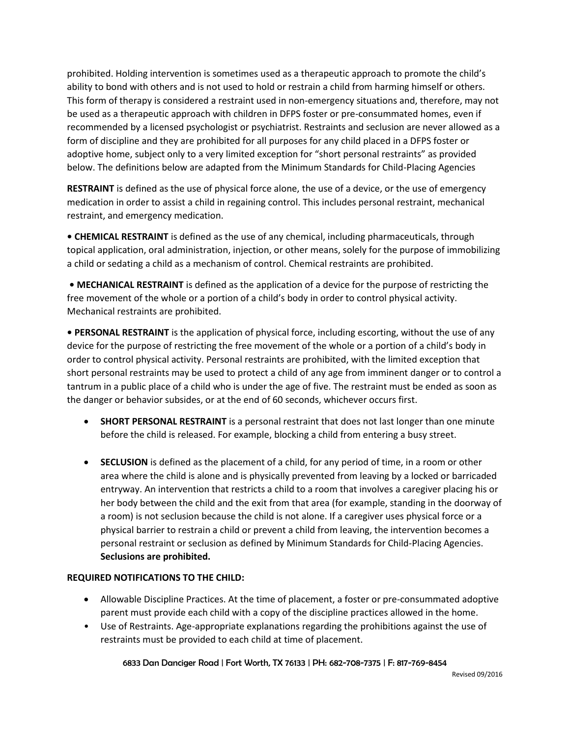prohibited. Holding intervention is sometimes used as a therapeutic approach to promote the child's ability to bond with others and is not used to hold or restrain a child from harming himself or others. This form of therapy is considered a restraint used in non-emergency situations and, therefore, may not be used as a therapeutic approach with children in DFPS foster or pre-consummated homes, even if recommended by a licensed psychologist or psychiatrist. Restraints and seclusion are never allowed as a form of discipline and they are prohibited for all purposes for any child placed in a DFPS foster or adoptive home, subject only to a very limited exception for "short personal restraints" as provided below. The definitions below are adapted from the Minimum Standards for Child-Placing Agencies

**RESTRAINT** is defined as the use of physical force alone, the use of a device, or the use of emergency medication in order to assist a child in regaining control. This includes personal restraint, mechanical restraint, and emergency medication.

**• CHEMICAL RESTRAINT** is defined as the use of any chemical, including pharmaceuticals, through topical application, oral administration, injection, or other means, solely for the purpose of immobilizing a child or sedating a child as a mechanism of control. Chemical restraints are prohibited.

**• MECHANICAL RESTRAINT** is defined as the application of a device for the purpose of restricting the free movement of the whole or a portion of a child's body in order to control physical activity. Mechanical restraints are prohibited.

**• PERSONAL RESTRAINT** is the application of physical force, including escorting, without the use of any device for the purpose of restricting the free movement of the whole or a portion of a child's body in order to control physical activity. Personal restraints are prohibited, with the limited exception that short personal restraints may be used to protect a child of any age from imminent danger or to control a tantrum in a public place of a child who is under the age of five. The restraint must be ended as soon as the danger or behavior subsides, or at the end of 60 seconds, whichever occurs first.

- **SHORT PERSONAL RESTRAINT** is a personal restraint that does not last longer than one minute before the child is released. For example, blocking a child from entering a busy street.
- **SECLUSION** is defined as the placement of a child, for any period of time, in a room or other area where the child is alone and is physically prevented from leaving by a locked or barricaded entryway. An intervention that restricts a child to a room that involves a caregiver placing his or her body between the child and the exit from that area (for example, standing in the doorway of a room) is not seclusion because the child is not alone. If a caregiver uses physical force or a physical barrier to restrain a child or prevent a child from leaving, the intervention becomes a personal restraint or seclusion as defined by Minimum Standards for Child-Placing Agencies. **Seclusions are prohibited.**

## **REQUIRED NOTIFICATIONS TO THE CHILD:**

- Allowable Discipline Practices. At the time of placement, a foster or pre-consummated adoptive parent must provide each child with a copy of the discipline practices allowed in the home.
- Use of Restraints. Age-appropriate explanations regarding the prohibitions against the use of restraints must be provided to each child at time of placement.